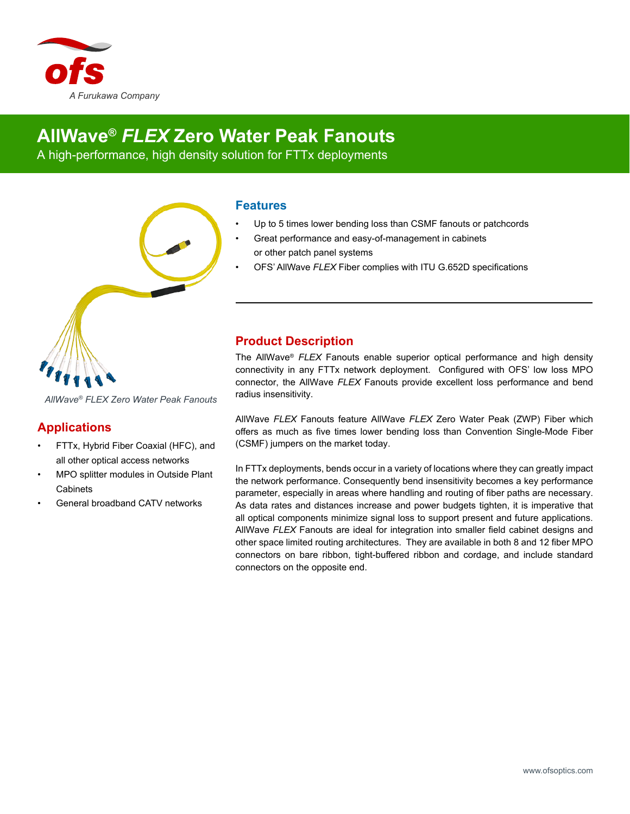

# **AllWave®** *FLEX* **Zero Water Peak Fanouts**

A high-performance, high density solution for FTTx deployments



*AllWave® FLEX Zero Water Peak Fanouts*

# **Applications**

- FTTx, Hybrid Fiber Coaxial (HFC), and all other optical access networks
- MPO splitter modules in Outside Plant **Cabinets**
- General broadband CATV networks

### **Features**

- Up to 5 times lower bending loss than CSMF fanouts or patchcords
- Great performance and easy-of-management in cabinets or other patch panel systems
- OFS' AllWave *FLEX* Fiber complies with ITU G.652D specifications

## **Product Description**

The AllWave® *FLEX* Fanouts enable superior optical performance and high density connectivity in any FTTx network deployment. Configured with OFS' low loss MPO connector, the AllWave *FLEX* Fanouts provide excellent loss performance and bend radius insensitivity.

AllWave *FLEX* Fanouts feature AllWave *FLEX* Zero Water Peak (ZWP) Fiber which offers as much as five times lower bending loss than Convention Single-Mode Fiber (CSMF) jumpers on the market today.

In FTTx deployments, bends occur in a variety of locations where they can greatly impact the network performance. Consequently bend insensitivity becomes a key performance parameter, especially in areas where handling and routing of fiber paths are necessary. As data rates and distances increase and power budgets tighten, it is imperative that all optical components minimize signal loss to support present and future applications. AllWave *FLEX* Fanouts are ideal for integration into smaller field cabinet designs and other space limited routing architectures. They are available in both 8 and 12 fiber MPO connectors on bare ribbon, tight-buffered ribbon and cordage, and include standard connectors on the opposite end.